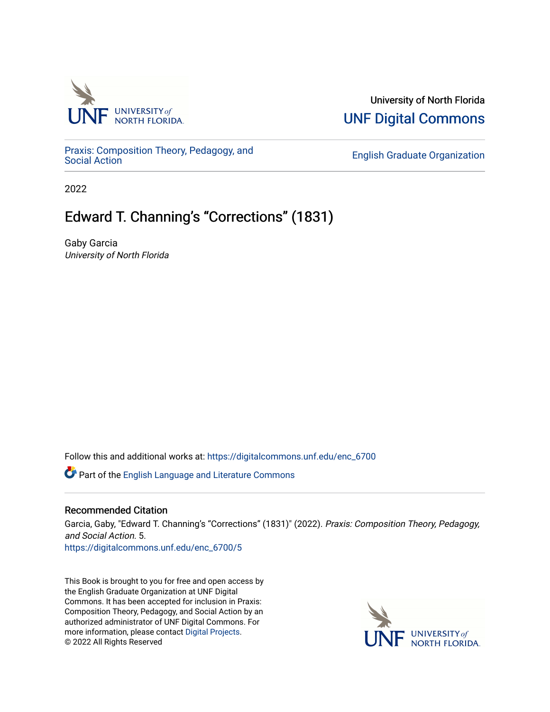

#### University of North Florida [UNF Digital Commons](https://digitalcommons.unf.edu/)

[Praxis: Composition Theory, Pedagogy, and](https://digitalcommons.unf.edu/enc_6700)

**English Graduate Organization** 

2022

#### Edward T. Channing's "Corrections" (1831)

Gaby Garcia University of North Florida

Follow this and additional works at: [https://digitalcommons.unf.edu/enc\\_6700](https://digitalcommons.unf.edu/enc_6700?utm_source=digitalcommons.unf.edu%2Fenc_6700%2F5&utm_medium=PDF&utm_campaign=PDFCoverPages) 

Part of the [English Language and Literature Commons](http://network.bepress.com/hgg/discipline/455?utm_source=digitalcommons.unf.edu%2Fenc_6700%2F5&utm_medium=PDF&utm_campaign=PDFCoverPages)

#### Recommended Citation

Garcia, Gaby, "Edward T. Channing's "Corrections" (1831)" (2022). Praxis: Composition Theory, Pedagogy, and Social Action. 5.

[https://digitalcommons.unf.edu/enc\\_6700/5](https://digitalcommons.unf.edu/enc_6700/5?utm_source=digitalcommons.unf.edu%2Fenc_6700%2F5&utm_medium=PDF&utm_campaign=PDFCoverPages) 

This Book is brought to you for free and open access by the English Graduate Organization at UNF Digital Commons. It has been accepted for inclusion in Praxis: Composition Theory, Pedagogy, and Social Action by an authorized administrator of UNF Digital Commons. For more information, please contact [Digital Projects](mailto:lib-digital@unf.edu). © 2022 All Rights Reserved